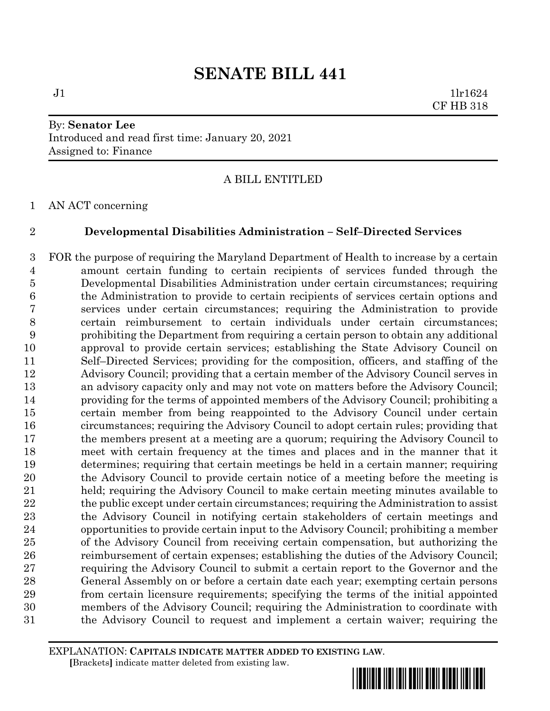$J1$   $1lr1624$ CF HB 318

## By: **Senator Lee** Introduced and read first time: January 20, 2021 Assigned to: Finance

### A BILL ENTITLED

AN ACT concerning

#### **Developmental Disabilities Administration – Self–Directed Services**

 FOR the purpose of requiring the Maryland Department of Health to increase by a certain amount certain funding to certain recipients of services funded through the Developmental Disabilities Administration under certain circumstances; requiring the Administration to provide to certain recipients of services certain options and services under certain circumstances; requiring the Administration to provide certain reimbursement to certain individuals under certain circumstances; prohibiting the Department from requiring a certain person to obtain any additional approval to provide certain services; establishing the State Advisory Council on Self–Directed Services; providing for the composition, officers, and staffing of the Advisory Council; providing that a certain member of the Advisory Council serves in an advisory capacity only and may not vote on matters before the Advisory Council; providing for the terms of appointed members of the Advisory Council; prohibiting a certain member from being reappointed to the Advisory Council under certain circumstances; requiring the Advisory Council to adopt certain rules; providing that the members present at a meeting are a quorum; requiring the Advisory Council to meet with certain frequency at the times and places and in the manner that it determines; requiring that certain meetings be held in a certain manner; requiring the Advisory Council to provide certain notice of a meeting before the meeting is held; requiring the Advisory Council to make certain meeting minutes available to 22 the public except under certain circumstances; requiring the Administration to assist the Advisory Council in notifying certain stakeholders of certain meetings and opportunities to provide certain input to the Advisory Council; prohibiting a member of the Advisory Council from receiving certain compensation, but authorizing the reimbursement of certain expenses; establishing the duties of the Advisory Council; requiring the Advisory Council to submit a certain report to the Governor and the General Assembly on or before a certain date each year; exempting certain persons from certain licensure requirements; specifying the terms of the initial appointed members of the Advisory Council; requiring the Administration to coordinate with the Advisory Council to request and implement a certain waiver; requiring the

EXPLANATION: **CAPITALS INDICATE MATTER ADDED TO EXISTING LAW**.  **[**Brackets**]** indicate matter deleted from existing law.

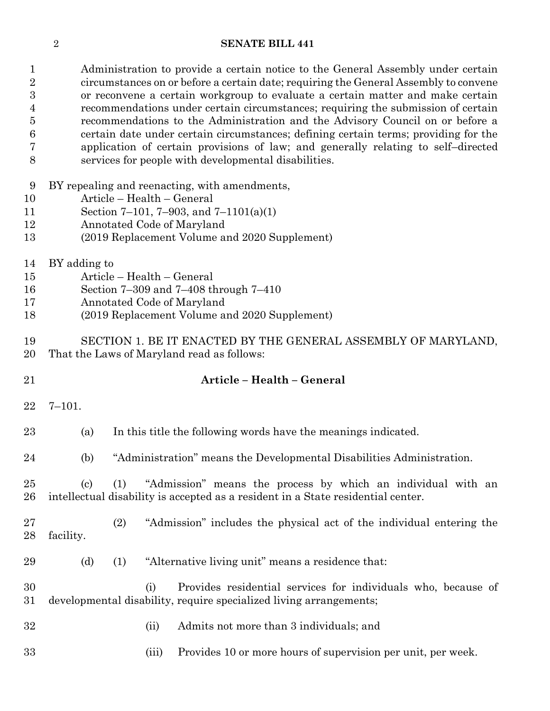| $\mathbf{1}$<br>$\sqrt{2}$<br>$\overline{3}$<br>4<br>5<br>6<br>7<br>8 |                                                                                                                                                                                                      |       | Administration to provide a certain notice to the General Assembly under certain<br>circumstances on or before a certain date; requiring the General Assembly to convene<br>or reconvene a certain workgroup to evaluate a certain matter and make certain<br>recommendations under certain circumstances; requiring the submission of certain<br>recommendations to the Administration and the Advisory Council on or before a<br>certain date under certain circumstances; defining certain terms; providing for the<br>application of certain provisions of law; and generally relating to self-directed<br>services for people with developmental disabilities. |  |
|-----------------------------------------------------------------------|------------------------------------------------------------------------------------------------------------------------------------------------------------------------------------------------------|-------|---------------------------------------------------------------------------------------------------------------------------------------------------------------------------------------------------------------------------------------------------------------------------------------------------------------------------------------------------------------------------------------------------------------------------------------------------------------------------------------------------------------------------------------------------------------------------------------------------------------------------------------------------------------------|--|
| 9<br>10<br>11<br>12<br>13                                             | BY repealing and reenacting, with amendments,<br>Article - Health - General<br>Section 7–101, 7–903, and 7–1101(a)(1)<br>Annotated Code of Maryland<br>(2019 Replacement Volume and 2020 Supplement) |       |                                                                                                                                                                                                                                                                                                                                                                                                                                                                                                                                                                                                                                                                     |  |
| 14<br>15<br>16<br>17<br>18                                            | BY adding to<br>Article - Health - General<br>Section 7-309 and 7-408 through 7-410<br>Annotated Code of Maryland<br>(2019 Replacement Volume and 2020 Supplement)                                   |       |                                                                                                                                                                                                                                                                                                                                                                                                                                                                                                                                                                                                                                                                     |  |
| 19<br>20                                                              | SECTION 1. BE IT ENACTED BY THE GENERAL ASSEMBLY OF MARYLAND,<br>That the Laws of Maryland read as follows:                                                                                          |       |                                                                                                                                                                                                                                                                                                                                                                                                                                                                                                                                                                                                                                                                     |  |
| 21                                                                    |                                                                                                                                                                                                      |       | Article - Health - General                                                                                                                                                                                                                                                                                                                                                                                                                                                                                                                                                                                                                                          |  |
| 22                                                                    | $7 - 101.$                                                                                                                                                                                           |       |                                                                                                                                                                                                                                                                                                                                                                                                                                                                                                                                                                                                                                                                     |  |
| 23                                                                    | (a)                                                                                                                                                                                                  |       | In this title the following words have the meanings indicated.                                                                                                                                                                                                                                                                                                                                                                                                                                                                                                                                                                                                      |  |
| 24                                                                    | (b)                                                                                                                                                                                                  |       | "Administration" means the Developmental Disabilities Administration.                                                                                                                                                                                                                                                                                                                                                                                                                                                                                                                                                                                               |  |
| 25<br>26                                                              | $\left( \text{c}\right)$                                                                                                                                                                             | (1)   | "Admission" means the process by which an individual with an<br>intellectual disability is accepted as a resident in a State residential center.                                                                                                                                                                                                                                                                                                                                                                                                                                                                                                                    |  |
| 27<br>28                                                              | facility.                                                                                                                                                                                            | (2)   | "Admission" includes the physical act of the individual entering the                                                                                                                                                                                                                                                                                                                                                                                                                                                                                                                                                                                                |  |
| 29                                                                    | (d)                                                                                                                                                                                                  | (1)   | "Alternative living unit" means a residence that:                                                                                                                                                                                                                                                                                                                                                                                                                                                                                                                                                                                                                   |  |
| 30<br>31                                                              |                                                                                                                                                                                                      | (i)   | Provides residential services for individuals who, because of<br>developmental disability, require specialized living arrangements;                                                                                                                                                                                                                                                                                                                                                                                                                                                                                                                                 |  |
| 32                                                                    |                                                                                                                                                                                                      | (ii)  | Admits not more than 3 individuals; and                                                                                                                                                                                                                                                                                                                                                                                                                                                                                                                                                                                                                             |  |
| 33                                                                    |                                                                                                                                                                                                      | (iii) | Provides 10 or more hours of supervision per unit, per week.                                                                                                                                                                                                                                                                                                                                                                                                                                                                                                                                                                                                        |  |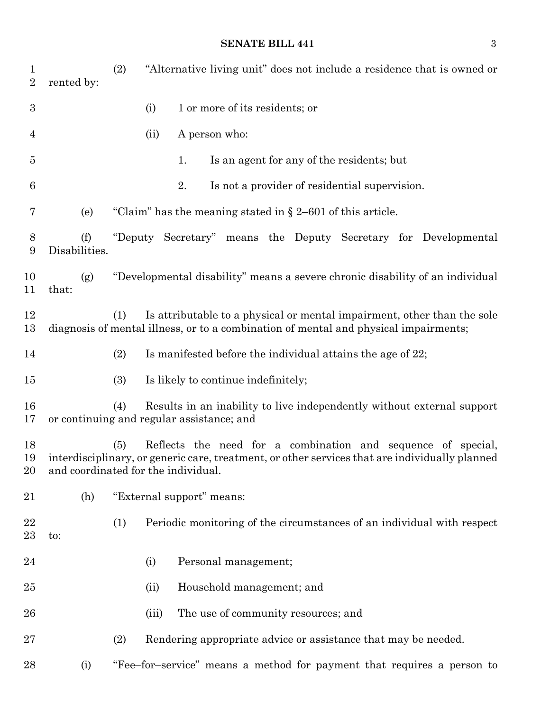| $\mathbf{1}$<br>$\overline{2}$ | rented by:                          | (2) |       | "Alternative living unit" does not include a residence that is owned or                                                                                         |
|--------------------------------|-------------------------------------|-----|-------|-----------------------------------------------------------------------------------------------------------------------------------------------------------------|
| $\boldsymbol{3}$               |                                     |     | (i)   | 1 or more of its residents; or                                                                                                                                  |
| 4                              |                                     |     | (ii)  | A person who:                                                                                                                                                   |
| 5                              |                                     |     |       | Is an agent for any of the residents; but<br>1.                                                                                                                 |
| 6                              |                                     |     |       | 2.<br>Is not a provider of residential supervision.                                                                                                             |
| 7                              | (e)                                 |     |       | "Claim" has the meaning stated in $\S 2-601$ of this article.                                                                                                   |
| 8<br>9                         | (f)<br>Disabilities.                |     |       | "Deputy Secretary" means the Deputy Secretary for Developmental                                                                                                 |
| 10<br>11                       | (g)<br>that:                        |     |       | "Developmental disability" means a severe chronic disability of an individual                                                                                   |
| 12<br>13                       |                                     | (1) |       | Is attributable to a physical or mental impairment, other than the sole<br>diagnosis of mental illness, or to a combination of mental and physical impairments; |
| 14                             |                                     | (2) |       | Is manifested before the individual attains the age of 22;                                                                                                      |
| 15                             |                                     | (3) |       | Is likely to continue indefinitely;                                                                                                                             |
| 16<br>17                       |                                     | (4) |       | Results in an inability to live independently without external support<br>or continuing and regular assistance; and                                             |
| 18<br>19<br>20                 | and coordinated for the individual. | (5) |       | Reflects the need for a combination and sequence of special,<br>interdisciplinary, or generic care, treatment, or other services that are individually planned  |
| 21                             | (h)                                 |     |       | "External support" means:                                                                                                                                       |
| 22<br>23                       | to:                                 | (1) |       | Periodic monitoring of the circumstances of an individual with respect                                                                                          |
| 24                             |                                     |     | (i)   | Personal management;                                                                                                                                            |
| 25                             |                                     |     | (ii)  | Household management; and                                                                                                                                       |
| 26                             |                                     |     | (iii) | The use of community resources; and                                                                                                                             |
| 27                             |                                     | (2) |       | Rendering appropriate advice or assistance that may be needed.                                                                                                  |
| 28                             | (i)                                 |     |       | "Fee–for–service" means a method for payment that requires a person to                                                                                          |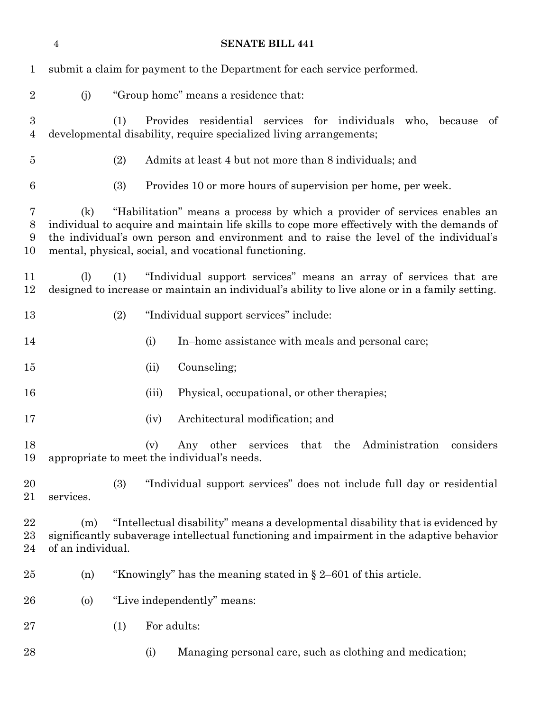|                       | $\overline{4}$                                                           |                                                                                                                                                                                                                                                                                                                             |       | <b>SENATE BILL 441</b>                                                                                                                                                       |
|-----------------------|--------------------------------------------------------------------------|-----------------------------------------------------------------------------------------------------------------------------------------------------------------------------------------------------------------------------------------------------------------------------------------------------------------------------|-------|------------------------------------------------------------------------------------------------------------------------------------------------------------------------------|
| $\mathbf{1}$          | submit a claim for payment to the Department for each service performed. |                                                                                                                                                                                                                                                                                                                             |       |                                                                                                                                                                              |
| $\overline{2}$        | (j)                                                                      |                                                                                                                                                                                                                                                                                                                             |       | "Group home" means a residence that:                                                                                                                                         |
| $\boldsymbol{3}$<br>4 |                                                                          | (1)                                                                                                                                                                                                                                                                                                                         |       | Provides residential services for individuals who, because<br>of<br>developmental disability, require specialized living arrangements;                                       |
| $\overline{5}$        |                                                                          | (2)                                                                                                                                                                                                                                                                                                                         |       | Admits at least 4 but not more than 8 individuals; and                                                                                                                       |
| $6\phantom{.}6$       |                                                                          | (3)                                                                                                                                                                                                                                                                                                                         |       | Provides 10 or more hours of supervision per home, per week.                                                                                                                 |
| 7<br>$8\,$<br>9<br>10 | (k)                                                                      | "Habilitation" means a process by which a provider of services enables an<br>individual to acquire and maintain life skills to cope more effectively with the demands of<br>the individual's own person and environment and to raise the level of the individual's<br>mental, physical, social, and vocational functioning. |       |                                                                                                                                                                              |
| 11<br>12              | (1)                                                                      | (1)                                                                                                                                                                                                                                                                                                                         |       | "Individual support services" means an array of services that are<br>designed to increase or maintain an individual's ability to live alone or in a family setting.          |
| 13                    |                                                                          | (2)                                                                                                                                                                                                                                                                                                                         |       | "Individual support services" include:                                                                                                                                       |
| 14                    |                                                                          |                                                                                                                                                                                                                                                                                                                             | (i)   | In-home assistance with meals and personal care;                                                                                                                             |
| 15                    |                                                                          |                                                                                                                                                                                                                                                                                                                             | (ii)  | Counseling;                                                                                                                                                                  |
| 16                    |                                                                          |                                                                                                                                                                                                                                                                                                                             | (iii) | Physical, occupational, or other therapies;                                                                                                                                  |
| 17                    |                                                                          |                                                                                                                                                                                                                                                                                                                             | (iv)  | Architectural modification; and                                                                                                                                              |
| 18<br>19              |                                                                          |                                                                                                                                                                                                                                                                                                                             | (v)   | Any other services that the Administration<br>considers<br>appropriate to meet the individual's needs.                                                                       |
| 20<br>21              | services.                                                                | (3)                                                                                                                                                                                                                                                                                                                         |       | "Individual support services" does not include full day or residential                                                                                                       |
| 22<br>$^{23}$<br>24   | (m)<br>of an individual.                                                 |                                                                                                                                                                                                                                                                                                                             |       | "Intellectual disability" means a developmental disability that is evidenced by<br>significantly subaverage intellectual functioning and impairment in the adaptive behavior |
| $25\,$                | (n)                                                                      |                                                                                                                                                                                                                                                                                                                             |       | "Knowingly" has the meaning stated in $\S 2-601$ of this article.                                                                                                            |
| 26                    | $\left( 0 \right)$                                                       |                                                                                                                                                                                                                                                                                                                             |       | "Live independently" means:                                                                                                                                                  |
| $27\,$                |                                                                          | (1)                                                                                                                                                                                                                                                                                                                         |       | For adults:                                                                                                                                                                  |
| 28                    |                                                                          |                                                                                                                                                                                                                                                                                                                             | (i)   | Managing personal care, such as clothing and medication;                                                                                                                     |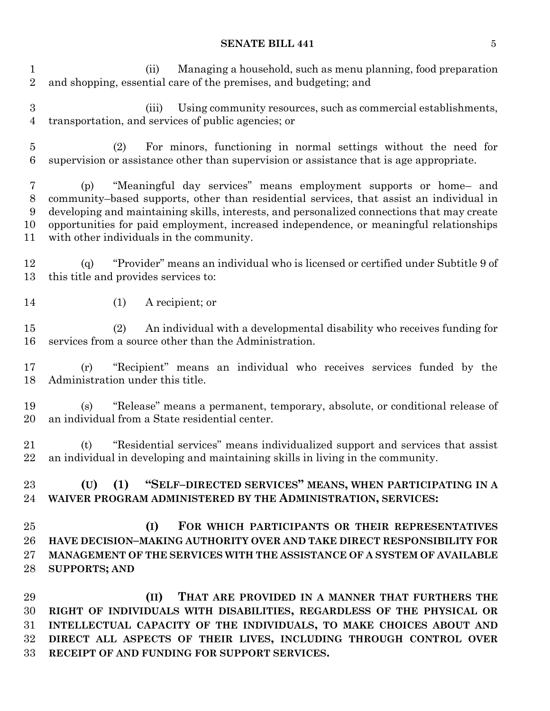(ii) Managing a household, such as menu planning, food preparation and shopping, essential care of the premises, and budgeting; and

 (iii) Using community resources, such as commercial establishments, transportation, and services of public agencies; or

 (2) For minors, functioning in normal settings without the need for supervision or assistance other than supervision or assistance that is age appropriate.

 (p) "Meaningful day services" means employment supports or home– and community–based supports, other than residential services, that assist an individual in developing and maintaining skills, interests, and personalized connections that may create opportunities for paid employment, increased independence, or meaningful relationships with other individuals in the community.

 (q) "Provider" means an individual who is licensed or certified under Subtitle 9 of this title and provides services to:

(1) A recipient; or

 (2) An individual with a developmental disability who receives funding for services from a source other than the Administration.

 (r) "Recipient" means an individual who receives services funded by the Administration under this title.

 (s) "Release" means a permanent, temporary, absolute, or conditional release of an individual from a State residential center.

 (t) "Residential services" means individualized support and services that assist an individual in developing and maintaining skills in living in the community.

 **(U) (1) "SELF–DIRECTED SERVICES" MEANS, WHEN PARTICIPATING IN A WAIVER PROGRAM ADMINISTERED BY THE ADMINISTRATION, SERVICES:**

 **(I) FOR WHICH PARTICIPANTS OR THEIR REPRESENTATIVES HAVE DECISION–MAKING AUTHORITY OVER AND TAKE DIRECT RESPONSIBILITY FOR MANAGEMENT OF THE SERVICES WITH THE ASSISTANCE OF A SYSTEM OF AVAILABLE SUPPORTS; AND**

 **(II) THAT ARE PROVIDED IN A MANNER THAT FURTHERS THE RIGHT OF INDIVIDUALS WITH DISABILITIES, REGARDLESS OF THE PHYSICAL OR INTELLECTUAL CAPACITY OF THE INDIVIDUALS, TO MAKE CHOICES ABOUT AND DIRECT ALL ASPECTS OF THEIR LIVES, INCLUDING THROUGH CONTROL OVER RECEIPT OF AND FUNDING FOR SUPPORT SERVICES.**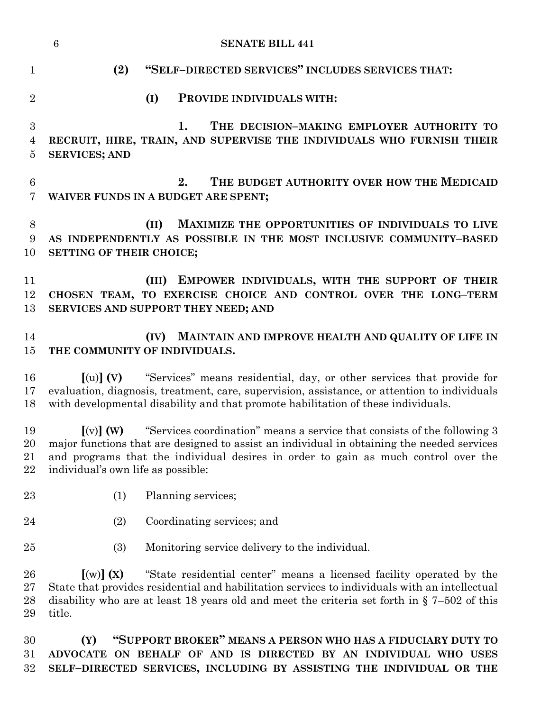|                      | $\boldsymbol{6}$<br><b>SENATE BILL 441</b>                                                                                                                                                                                                                                                                                                               |
|----------------------|----------------------------------------------------------------------------------------------------------------------------------------------------------------------------------------------------------------------------------------------------------------------------------------------------------------------------------------------------------|
| $\mathbf{1}$         | (2)<br>"SELF-DIRECTED SERVICES" INCLUDES SERVICES THAT:                                                                                                                                                                                                                                                                                                  |
| $\overline{2}$       | (I)<br>PROVIDE INDIVIDUALS WITH:                                                                                                                                                                                                                                                                                                                         |
| 3<br>4<br>5          | 1.<br>THE DECISION-MAKING EMPLOYER AUTHORITY TO<br>RECRUIT, HIRE, TRAIN, AND SUPERVISE THE INDIVIDUALS WHO FURNISH THEIR<br><b>SERVICES; AND</b>                                                                                                                                                                                                         |
| $\,6$<br>7           | 2.<br>THE BUDGET AUTHORITY OVER HOW THE MEDICAID<br>WAIVER FUNDS IN A BUDGET ARE SPENT;                                                                                                                                                                                                                                                                  |
| $8\,$<br>9<br>10     | MAXIMIZE THE OPPORTUNITIES OF INDIVIDUALS TO LIVE<br>(II)<br>AS INDEPENDENTLY AS POSSIBLE IN THE MOST INCLUSIVE COMMUNITY-BASED<br>SETTING OF THEIR CHOICE;                                                                                                                                                                                              |
| 11<br>12<br>13       | (III) EMPOWER INDIVIDUALS, WITH THE SUPPORT OF THEIR<br>CHOSEN TEAM, TO EXERCISE CHOICE AND CONTROL OVER THE LONG-TERM<br>SERVICES AND SUPPORT THEY NEED; AND                                                                                                                                                                                            |
| 14<br>15             | MAINTAIN AND IMPROVE HEALTH AND QUALITY OF LIFE IN<br>(IV)<br>THE COMMUNITY OF INDIVIDUALS.                                                                                                                                                                                                                                                              |
| 16<br>17<br>18       | "Services" means residential, day, or other services that provide for<br>$\lbrack\text{(u)}\rbrack$ (V)<br>evaluation, diagnosis, treatment, care, supervision, assistance, or attention to individuals<br>with developmental disability and that promote habilitation of these individuals.                                                             |
| 19<br>20<br>21<br>22 | $\lbrack\!\lbrack\mathrm{(v)}\rbrack\!\rbrack$ (W)<br>"Services coordination" means a service that consists of the following 3<br>major functions that are designed to assist an individual in obtaining the needed services<br>and programs that the individual desires in order to gain as much control over the<br>individual's own life as possible: |
| 23                   | (1)<br>Planning services;                                                                                                                                                                                                                                                                                                                                |
| 24                   | (2)<br>Coordinating services; and                                                                                                                                                                                                                                                                                                                        |
| 25                   | (3)<br>Monitoring service delivery to the individual.                                                                                                                                                                                                                                                                                                    |
| 26<br>27<br>28<br>29 | [(w)](X)<br>"State residential center" means a licensed facility operated by the<br>State that provides residential and habilitation services to individuals with an intellectual<br>disability who are at least 18 years old and meet the criteria set forth in $\S$ 7-502 of this<br>title.                                                            |
| 30<br>31<br>32       | "SUPPORT BROKER" MEANS A PERSON WHO HAS A FIDUCIARY DUTY TO<br>(Y)<br>ADVOCATE ON BEHALF OF AND IS DIRECTED BY AN INDIVIDUAL WHO USES<br>SELF-DIRECTED SERVICES, INCLUDING BY ASSISTING THE INDIVIDUAL OR THE                                                                                                                                            |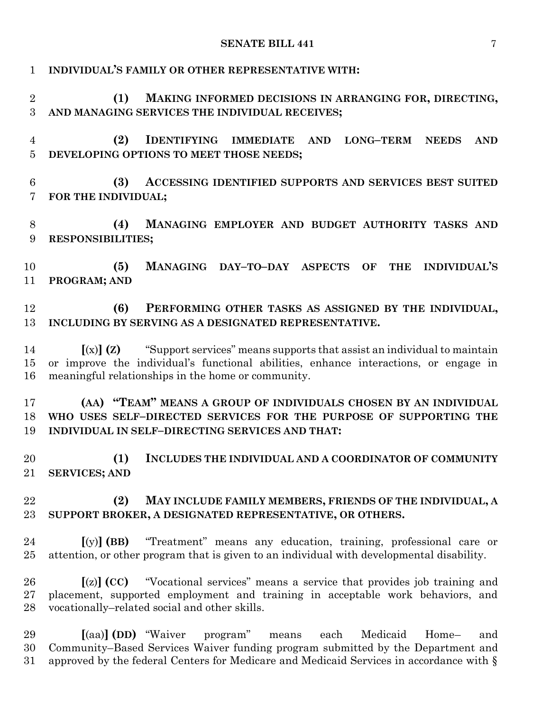| $\mathbf{1}$         | INDIVIDUAL'S FAMILY OR OTHER REPRESENTATIVE WITH:                                                                                                                                                                                 |
|----------------------|-----------------------------------------------------------------------------------------------------------------------------------------------------------------------------------------------------------------------------------|
| $\overline{2}$<br>3  | (1)<br>MAKING INFORMED DECISIONS IN ARRANGING FOR, DIRECTING,<br>AND MANAGING SERVICES THE INDIVIDUAL RECEIVES;                                                                                                                   |
| 4<br>5               | IDENTIFYING IMMEDIATE AND<br>(2)<br>LONG-TERM NEEDS<br><b>AND</b><br>DEVELOPING OPTIONS TO MEET THOSE NEEDS;                                                                                                                      |
| $6\phantom{.}6$<br>7 | ACCESSING IDENTIFIED SUPPORTS AND SERVICES BEST SUITED<br>(3)<br>FOR THE INDIVIDUAL;                                                                                                                                              |
| 8<br>9               | MANAGING EMPLOYER AND BUDGET AUTHORITY TASKS AND<br>(4)<br><b>RESPONSIBILITIES;</b>                                                                                                                                               |
| 10<br>11             | <b>INDIVIDUAL'S</b><br>(5)<br>MANAGING DAY-TO-DAY ASPECTS OF<br><b>THE</b><br>PROGRAM; AND                                                                                                                                        |
| 12<br>13             | (6)<br>PERFORMING OTHER TASKS AS ASSIGNED BY THE INDIVIDUAL,<br>INCLUDING BY SERVING AS A DESIGNATED REPRESENTATIVE.                                                                                                              |
| 14<br>$15\,$<br>16   | $(x)$ $(z)$ "Support services" means supports that assist an individual to maintain<br>or improve the individual's functional abilities, enhance interactions, or engage in<br>meaningful relationships in the home or community. |
| 17<br>18<br>19       | (AA) "TEAM" MEANS A GROUP OF INDIVIDUALS CHOSEN BY AN INDIVIDUAL<br>WHO USES SELF-DIRECTED SERVICES FOR THE PURPOSE OF SUPPORTING THE<br>INDIVIDUAL IN SELF-DIRECTING SERVICES AND THAT:                                          |
| 20<br>21             | (1)<br>INCLUDES THE INDIVIDUAL AND A COORDINATOR OF COMMUNITY<br><b>SERVICES; AND</b>                                                                                                                                             |
| 22<br>23             | (2)<br>MAY INCLUDE FAMILY MEMBERS, FRIENDS OF THE INDIVIDUAL, A<br>SUPPORT BROKER, A DESIGNATED REPRESENTATIVE, OR OTHERS.                                                                                                        |
| 24<br>25             | "Treatment" means any education, training, professional care or<br>$[(y)]$ (BB)<br>attention, or other program that is given to an individual with developmental disability.                                                      |
| 26<br>27<br>28       | "Vocational services" means a service that provides job training and<br>$[(z)]$ (CC)<br>placement, supported employment and training in acceptable work behaviors, and<br>vocationally-related social and other skills.           |
| 29<br>30             | $\lceil$ (aa) $\rceil$ (DD) "Waiver"<br>program"<br>Medicaid<br>Home-<br>means<br>each<br>and<br>Community–Based Services Waiver funding program submitted by the Department and                                                  |

approved by the federal Centers for Medicare and Medicaid Services in accordance with §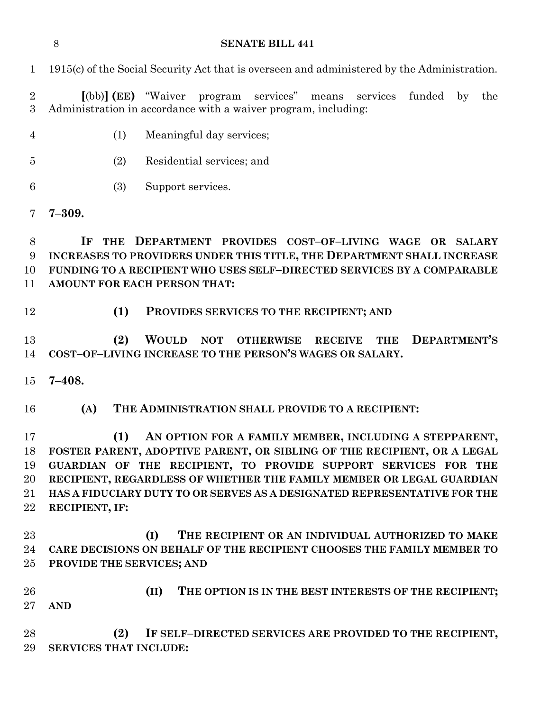**IF THE DEPARTMENT PROVIDES COST–OF–LIVING WAGE OR SALARY INCREASES TO PROVIDERS UNDER THIS TITLE, THE DEPARTMENT SHALL INCREASE FUNDING TO A RECIPIENT WHO USES SELF–DIRECTED SERVICES BY A COMPARABLE AMOUNT FOR EACH PERSON THAT: (1) PROVIDES SERVICES TO THE RECIPIENT; AND (II) THE OPTION IS IN THE BEST INTERESTS OF THE RECIPIENT; AND (2) IF SELF–DIRECTED SERVICES ARE PROVIDED TO THE RECIPIENT, SERVICES THAT INCLUDE:**

**SENATE BILL 441**

1915(c) of the Social Security Act that is overseen and administered by the Administration.

 **[**(bb)**] (EE)** "Waiver program services" means services funded by the Administration in accordance with a waiver program, including:

- (1) Meaningful day services;
- (2) Residential services; and
- (3) Support services.
- **7–309.**

- 
- **(2) WOULD NOT OTHERWISE RECEIVE THE DEPARTMENT'S COST–OF–LIVING INCREASE TO THE PERSON'S WAGES OR SALARY.**
- **7–408.**
- **(A) THE ADMINISTRATION SHALL PROVIDE TO A RECIPIENT:**

 **(1) AN OPTION FOR A FAMILY MEMBER, INCLUDING A STEPPARENT, FOSTER PARENT, ADOPTIVE PARENT, OR SIBLING OF THE RECIPIENT, OR A LEGAL GUARDIAN OF THE RECIPIENT, TO PROVIDE SUPPORT SERVICES FOR THE RECIPIENT, REGARDLESS OF WHETHER THE FAMILY MEMBER OR LEGAL GUARDIAN HAS A FIDUCIARY DUTY TO OR SERVES AS A DESIGNATED REPRESENTATIVE FOR THE RECIPIENT, IF:**

- **(I) THE RECIPIENT OR AN INDIVIDUAL AUTHORIZED TO MAKE CARE DECISIONS ON BEHALF OF THE RECIPIENT CHOOSES THE FAMILY MEMBER TO PROVIDE THE SERVICES; AND**
	-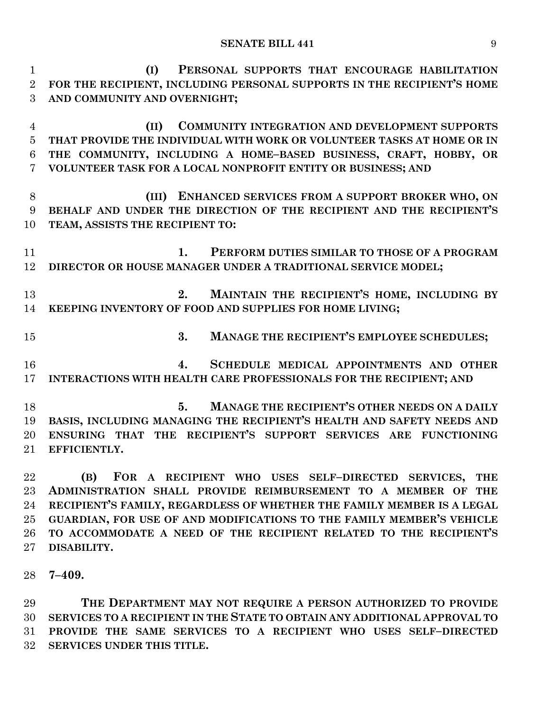**(I) PERSONAL SUPPORTS THAT ENCOURAGE HABILITATION FOR THE RECIPIENT, INCLUDING PERSONAL SUPPORTS IN THE RECIPIENT'S HOME AND COMMUNITY AND OVERNIGHT; (II) COMMUNITY INTEGRATION AND DEVELOPMENT SUPPORTS THAT PROVIDE THE INDIVIDUAL WITH WORK OR VOLUNTEER TASKS AT HOME OR IN THE COMMUNITY, INCLUDING A HOME–BASED BUSINESS, CRAFT, HOBBY, OR VOLUNTEER TASK FOR A LOCAL NONPROFIT ENTITY OR BUSINESS; AND (III) ENHANCED SERVICES FROM A SUPPORT BROKER WHO, ON BEHALF AND UNDER THE DIRECTION OF THE RECIPIENT AND THE RECIPIENT'S TEAM, ASSISTS THE RECIPIENT TO: 1. PERFORM DUTIES SIMILAR TO THOSE OF A PROGRAM DIRECTOR OR HOUSE MANAGER UNDER A TRADITIONAL SERVICE MODEL; 2. MAINTAIN THE RECIPIENT'S HOME, INCLUDING BY KEEPING INVENTORY OF FOOD AND SUPPLIES FOR HOME LIVING; 3. MANAGE THE RECIPIENT'S EMPLOYEE SCHEDULES; 4. SCHEDULE MEDICAL APPOINTMENTS AND OTHER INTERACTIONS WITH HEALTH CARE PROFESSIONALS FOR THE RECIPIENT; AND 5. MANAGE THE RECIPIENT'S OTHER NEEDS ON A DAILY BASIS, INCLUDING MANAGING THE RECIPIENT'S HEALTH AND SAFETY NEEDS AND ENSURING THAT THE RECIPIENT'S SUPPORT SERVICES ARE FUNCTIONING EFFICIENTLY. (B) FOR A RECIPIENT WHO USES SELF–DIRECTED SERVICES, THE ADMINISTRATION SHALL PROVIDE REIMBURSEMENT TO A MEMBER OF THE RECIPIENT'S FAMILY, REGARDLESS OF WHETHER THE FAMILY MEMBER IS A LEGAL GUARDIAN, FOR USE OF AND MODIFICATIONS TO THE FAMILY MEMBER'S VEHICLE TO ACCOMMODATE A NEED OF THE RECIPIENT RELATED TO THE RECIPIENT'S DISABILITY. 7–409.**

 **THE DEPARTMENT MAY NOT REQUIRE A PERSON AUTHORIZED TO PROVIDE SERVICES TO A RECIPIENT IN THE STATE TO OBTAIN ANY ADDITIONAL APPROVAL TO PROVIDE THE SAME SERVICES TO A RECIPIENT WHO USES SELF–DIRECTED SERVICES UNDER THIS TITLE.**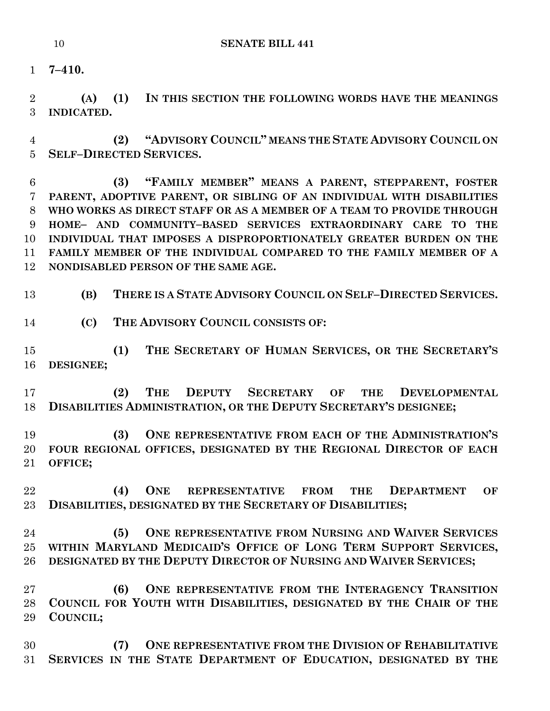**7–410.**

 **(A) (1) IN THIS SECTION THE FOLLOWING WORDS HAVE THE MEANINGS INDICATED.**

 **(2) "ADVISORY COUNCIL" MEANS THE STATE ADVISORY COUNCIL ON SELF–DIRECTED SERVICES.**

 **(3) "FAMILY MEMBER" MEANS A PARENT, STEPPARENT, FOSTER PARENT, ADOPTIVE PARENT, OR SIBLING OF AN INDIVIDUAL WITH DISABILITIES WHO WORKS AS DIRECT STAFF OR AS A MEMBER OF A TEAM TO PROVIDE THROUGH HOME– AND COMMUNITY–BASED SERVICES EXTRAORDINARY CARE TO THE INDIVIDUAL THAT IMPOSES A DISPROPORTIONATELY GREATER BURDEN ON THE FAMILY MEMBER OF THE INDIVIDUAL COMPARED TO THE FAMILY MEMBER OF A NONDISABLED PERSON OF THE SAME AGE.**

**(B) THERE IS A STATE ADVISORY COUNCIL ON SELF–DIRECTED SERVICES.**

**(C) THE ADVISORY COUNCIL CONSISTS OF:**

 **(1) THE SECRETARY OF HUMAN SERVICES, OR THE SECRETARY'S DESIGNEE;**

 **(2) THE DEPUTY SECRETARY OF THE DEVELOPMENTAL DISABILITIES ADMINISTRATION, OR THE DEPUTY SECRETARY'S DESIGNEE;**

 **(3) ONE REPRESENTATIVE FROM EACH OF THE ADMINISTRATION'S FOUR REGIONAL OFFICES, DESIGNATED BY THE REGIONAL DIRECTOR OF EACH OFFICE;**

 **(4) ONE REPRESENTATIVE FROM THE DEPARTMENT OF DISABILITIES, DESIGNATED BY THE SECRETARY OF DISABILITIES;**

 **(5) ONE REPRESENTATIVE FROM NURSING AND WAIVER SERVICES WITHIN MARYLAND MEDICAID'S OFFICE OF LONG TERM SUPPORT SERVICES, DESIGNATED BY THE DEPUTY DIRECTOR OF NURSING AND WAIVER SERVICES;**

 **(6) ONE REPRESENTATIVE FROM THE INTERAGENCY TRANSITION COUNCIL FOR YOUTH WITH DISABILITIES, DESIGNATED BY THE CHAIR OF THE COUNCIL;**

 **(7) ONE REPRESENTATIVE FROM THE DIVISION OF REHABILITATIVE SERVICES IN THE STATE DEPARTMENT OF EDUCATION, DESIGNATED BY THE**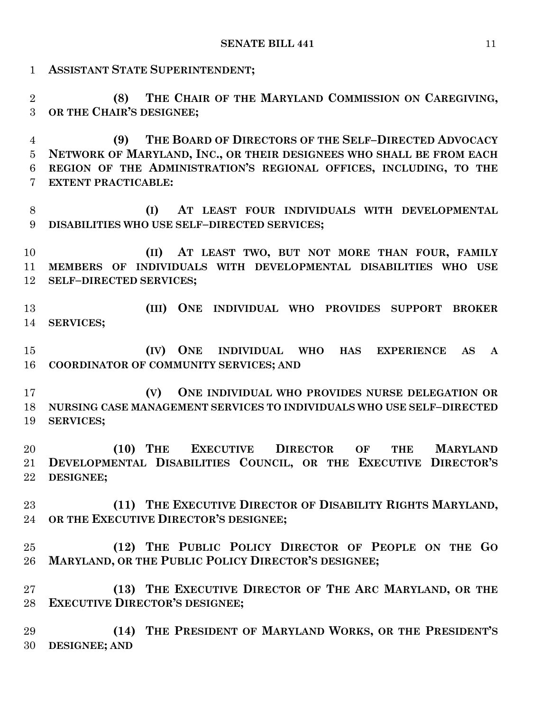**ASSISTANT STATE SUPERINTENDENT; (8) THE CHAIR OF THE MARYLAND COMMISSION ON CAREGIVING, OR THE CHAIR'S DESIGNEE; (9) THE BOARD OF DIRECTORS OF THE SELF–DIRECTED ADVOCACY NETWORK OF MARYLAND, INC., OR THEIR DESIGNEES WHO SHALL BE FROM EACH REGION OF THE ADMINISTRATION'S REGIONAL OFFICES, INCLUDING, TO THE EXTENT PRACTICABLE: (I) AT LEAST FOUR INDIVIDUALS WITH DEVELOPMENTAL DISABILITIES WHO USE SELF–DIRECTED SERVICES; (II) AT LEAST TWO, BUT NOT MORE THAN FOUR, FAMILY MEMBERS OF INDIVIDUALS WITH DEVELOPMENTAL DISABILITIES WHO USE SELF–DIRECTED SERVICES; (III) ONE INDIVIDUAL WHO PROVIDES SUPPORT BROKER SERVICES; (IV) ONE INDIVIDUAL WHO HAS EXPERIENCE AS A COORDINATOR OF COMMUNITY SERVICES; AND (V) ONE INDIVIDUAL WHO PROVIDES NURSE DELEGATION OR NURSING CASE MANAGEMENT SERVICES TO INDIVIDUALS WHO USE SELF–DIRECTED SERVICES; (10) THE EXECUTIVE DIRECTOR OF THE MARYLAND DEVELOPMENTAL DISABILITIES COUNCIL, OR THE EXECUTIVE DIRECTOR'S DESIGNEE; (11) THE EXECUTIVE DIRECTOR OF DISABILITY RIGHTS MARYLAND, OR THE EXECUTIVE DIRECTOR'S DESIGNEE; (12) THE PUBLIC POLICY DIRECTOR OF PEOPLE ON THE GO MARYLAND, OR THE PUBLIC POLICY DIRECTOR'S DESIGNEE; (13) THE EXECUTIVE DIRECTOR OF THE ARC MARYLAND, OR THE EXECUTIVE DIRECTOR'S DESIGNEE; (14) THE PRESIDENT OF MARYLAND WORKS, OR THE PRESIDENT'S DESIGNEE; AND**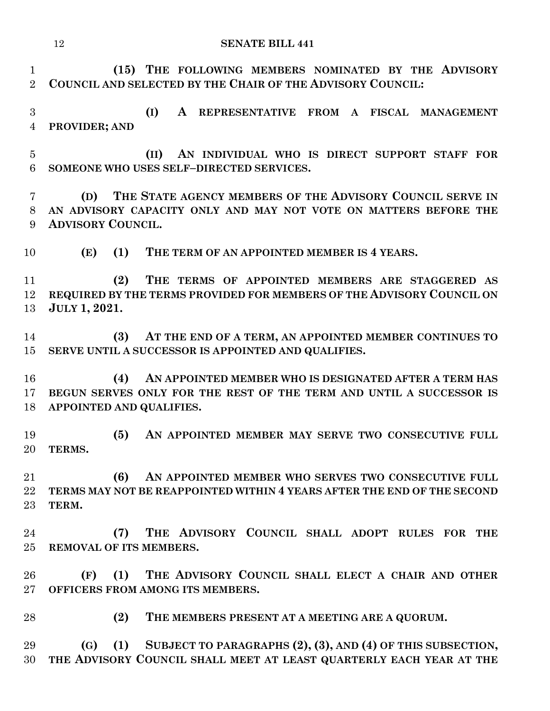| 12 | <b>SENATE BILL 441</b> |
|----|------------------------|
|    |                        |

 **(15) THE FOLLOWING MEMBERS NOMINATED BY THE ADVISORY COUNCIL AND SELECTED BY THE CHAIR OF THE ADVISORY COUNCIL:**

 **(I) A REPRESENTATIVE FROM A FISCAL MANAGEMENT PROVIDER; AND**

 **(II) AN INDIVIDUAL WHO IS DIRECT SUPPORT STAFF FOR SOMEONE WHO USES SELF–DIRECTED SERVICES.**

 **(D) THE STATE AGENCY MEMBERS OF THE ADVISORY COUNCIL SERVE IN AN ADVISORY CAPACITY ONLY AND MAY NOT VOTE ON MATTERS BEFORE THE ADVISORY COUNCIL.**

**(E) (1) THE TERM OF AN APPOINTED MEMBER IS 4 YEARS.**

 **(2) THE TERMS OF APPOINTED MEMBERS ARE STAGGERED AS REQUIRED BY THE TERMS PROVIDED FOR MEMBERS OF THE ADVISORY COUNCIL ON JULY 1, 2021.**

 **(3) AT THE END OF A TERM, AN APPOINTED MEMBER CONTINUES TO SERVE UNTIL A SUCCESSOR IS APPOINTED AND QUALIFIES.**

 **(4) AN APPOINTED MEMBER WHO IS DESIGNATED AFTER A TERM HAS BEGUN SERVES ONLY FOR THE REST OF THE TERM AND UNTIL A SUCCESSOR IS APPOINTED AND QUALIFIES.**

 **(5) AN APPOINTED MEMBER MAY SERVE TWO CONSECUTIVE FULL TERMS.**

 **(6) AN APPOINTED MEMBER WHO SERVES TWO CONSECUTIVE FULL TERMS MAY NOT BE REAPPOINTED WITHIN 4 YEARS AFTER THE END OF THE SECOND TERM.**

 **(7) THE ADVISORY COUNCIL SHALL ADOPT RULES FOR THE REMOVAL OF ITS MEMBERS.**

 **(F) (1) THE ADVISORY COUNCIL SHALL ELECT A CHAIR AND OTHER OFFICERS FROM AMONG ITS MEMBERS.**

**(2) THE MEMBERS PRESENT AT A MEETING ARE A QUORUM.**

 **(G) (1) SUBJECT TO PARAGRAPHS (2), (3), AND (4) OF THIS SUBSECTION, THE ADVISORY COUNCIL SHALL MEET AT LEAST QUARTERLY EACH YEAR AT THE**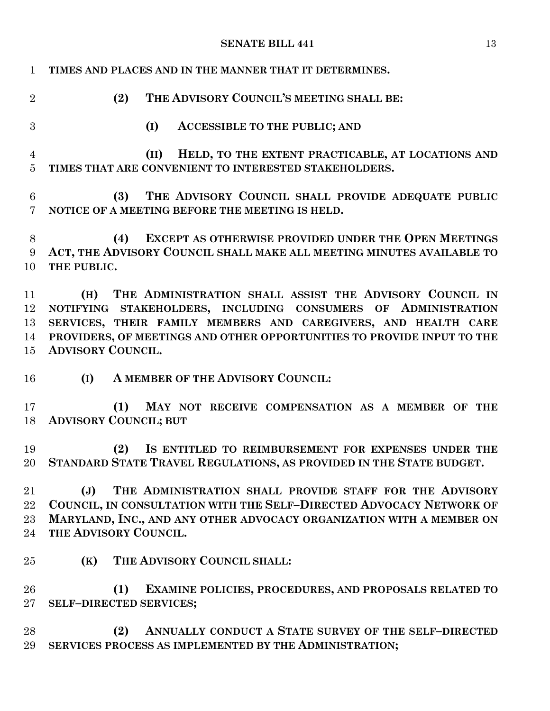| $\mathbf{1}$                     | TIMES AND PLACES AND IN THE MANNER THAT IT DETERMINES.                                                                                                                                                                                                                                               |
|----------------------------------|------------------------------------------------------------------------------------------------------------------------------------------------------------------------------------------------------------------------------------------------------------------------------------------------------|
| $\overline{2}$                   | THE ADVISORY COUNCIL'S MEETING SHALL BE:<br>(2)                                                                                                                                                                                                                                                      |
| 3                                | (I)<br><b>ACCESSIBLE TO THE PUBLIC; AND</b>                                                                                                                                                                                                                                                          |
| $\overline{4}$<br>$\overline{5}$ | HELD, TO THE EXTENT PRACTICABLE, AT LOCATIONS AND<br>(II)<br>TIMES THAT ARE CONVENIENT TO INTERESTED STAKEHOLDERS.                                                                                                                                                                                   |
| $6\phantom{.}6$<br>7             | THE ADVISORY COUNCIL SHALL PROVIDE ADEQUATE PUBLIC<br>(3)<br>NOTICE OF A MEETING BEFORE THE MEETING IS HELD.                                                                                                                                                                                         |
| 8<br>9<br>10                     | EXCEPT AS OTHERWISE PROVIDED UNDER THE OPEN MEETINGS<br>(4)<br>ACT, THE ADVISORY COUNCIL SHALL MAKE ALL MEETING MINUTES AVAILABLE TO<br>THE PUBLIC.                                                                                                                                                  |
| 11<br>12<br>13<br>14<br>15       | (H) THE ADMINISTRATION SHALL ASSIST THE ADVISORY COUNCIL IN<br>NOTIFYING STAKEHOLDERS, INCLUDING CONSUMERS OF ADMINISTRATION<br>SERVICES, THEIR FAMILY MEMBERS AND CAREGIVERS, AND HEALTH CARE<br>PROVIDERS, OF MEETINGS AND OTHER OPPORTUNITIES TO PROVIDE INPUT TO THE<br><b>ADVISORY COUNCIL.</b> |
| 16                               | (I)<br>A MEMBER OF THE ADVISORY COUNCIL:                                                                                                                                                                                                                                                             |
| 17<br>18                         | (1)<br>MAY NOT RECEIVE COMPENSATION AS A MEMBER OF THE<br><b>ADVISORY COUNCIL; BUT</b>                                                                                                                                                                                                               |
| 19<br>20                         | (2)<br>IS ENTITLED TO REIMBURSEMENT FOR EXPENSES UNDER THE<br>STANDARD STATE TRAVEL REGULATIONS, AS PROVIDED IN THE STATE BUDGET.                                                                                                                                                                    |
| 21<br>22<br>23<br>24             | THE ADMINISTRATION SHALL PROVIDE STAFF FOR THE ADVISORY<br>$(\mathbf{J})$<br>COUNCIL, IN CONSULTATION WITH THE SELF-DIRECTED ADVOCACY NETWORK OF<br>MARYLAND, INC., AND ANY OTHER ADVOCACY ORGANIZATION WITH A MEMBER ON<br>THE ADVISORY COUNCIL.                                                    |
| 25                               | THE ADVISORY COUNCIL SHALL:<br>(K)                                                                                                                                                                                                                                                                   |
| 26<br>$27\,$                     | EXAMINE POLICIES, PROCEDURES, AND PROPOSALS RELATED TO<br>(1)<br>SELF-DIRECTED SERVICES;                                                                                                                                                                                                             |
| 28<br>29                         | ANNUALLY CONDUCT A STATE SURVEY OF THE SELF-DIRECTED<br>(2)<br>SERVICES PROCESS AS IMPLEMENTED BY THE ADMINISTRATION;                                                                                                                                                                                |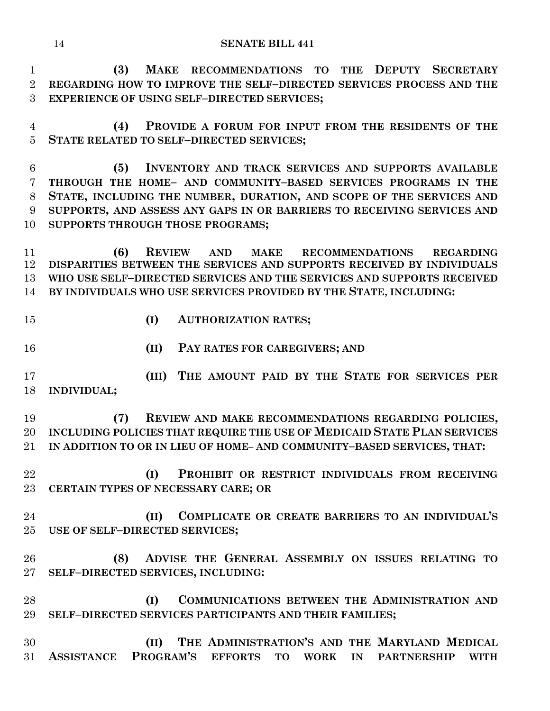**(3) MAKE RECOMMENDATIONS TO THE DEPUTY SECRETARY REGARDING HOW TO IMPROVE THE SELF–DIRECTED SERVICES PROCESS AND THE EXPERIENCE OF USING SELF–DIRECTED SERVICES;**

 **(4) PROVIDE A FORUM FOR INPUT FROM THE RESIDENTS OF THE STATE RELATED TO SELF–DIRECTED SERVICES;**

 **(5) INVENTORY AND TRACK SERVICES AND SUPPORTS AVAILABLE THROUGH THE HOME– AND COMMUNITY–BASED SERVICES PROGRAMS IN THE STATE, INCLUDING THE NUMBER, DURATION, AND SCOPE OF THE SERVICES AND SUPPORTS, AND ASSESS ANY GAPS IN OR BARRIERS TO RECEIVING SERVICES AND SUPPORTS THROUGH THOSE PROGRAMS;** 

 **(6) REVIEW AND MAKE RECOMMENDATIONS REGARDING DISPARITIES BETWEEN THE SERVICES AND SUPPORTS RECEIVED BY INDIVIDUALS WHO USE SELF–DIRECTED SERVICES AND THE SERVICES AND SUPPORTS RECEIVED BY INDIVIDUALS WHO USE SERVICES PROVIDED BY THE STATE, INCLUDING:**

- 
- **(I) AUTHORIZATION RATES;**
- **(II) PAY RATES FOR CAREGIVERS; AND**

 **(III) THE AMOUNT PAID BY THE STATE FOR SERVICES PER INDIVIDUAL;** 

 **(7) REVIEW AND MAKE RECOMMENDATIONS REGARDING POLICIES, INCLUDING POLICIES THAT REQUIRE THE USE OF MEDICAID STATE PLAN SERVICES IN ADDITION TO OR IN LIEU OF HOME– AND COMMUNITY–BASED SERVICES, THAT:**

- **(I) PROHIBIT OR RESTRICT INDIVIDUALS FROM RECEIVING CERTAIN TYPES OF NECESSARY CARE; OR**
- **(II) COMPLICATE OR CREATE BARRIERS TO AN INDIVIDUAL'S USE OF SELF–DIRECTED SERVICES;**
- **(8) ADVISE THE GENERAL ASSEMBLY ON ISSUES RELATING TO SELF–DIRECTED SERVICES, INCLUDING:**
- **(I) COMMUNICATIONS BETWEEN THE ADMINISTRATION AND SELF–DIRECTED SERVICES PARTICIPANTS AND THEIR FAMILIES;**
- **(II) THE ADMINISTRATION'S AND THE MARYLAND MEDICAL ASSISTANCE PROGRAM'S EFFORTS TO WORK IN PARTNERSHIP WITH**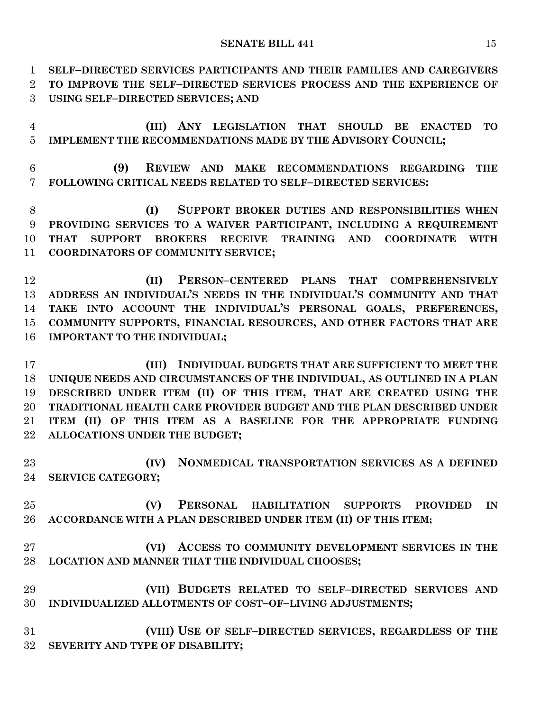**SELF–DIRECTED SERVICES PARTICIPANTS AND THEIR FAMILIES AND CAREGIVERS** 

 **TO IMPROVE THE SELF–DIRECTED SERVICES PROCESS AND THE EXPERIENCE OF USING SELF–DIRECTED SERVICES; AND**

 **(III) ANY LEGISLATION THAT SHOULD BE ENACTED TO IMPLEMENT THE RECOMMENDATIONS MADE BY THE ADVISORY COUNCIL;**

 **(9) REVIEW AND MAKE RECOMMENDATIONS REGARDING THE FOLLOWING CRITICAL NEEDS RELATED TO SELF–DIRECTED SERVICES:**

 **(I) SUPPORT BROKER DUTIES AND RESPONSIBILITIES WHEN PROVIDING SERVICES TO A WAIVER PARTICIPANT, INCLUDING A REQUIREMENT THAT SUPPORT BROKERS RECEIVE TRAINING AND COORDINATE WITH COORDINATORS OF COMMUNITY SERVICE;**

 **(II) PERSON–CENTERED PLANS THAT COMPREHENSIVELY ADDRESS AN INDIVIDUAL'S NEEDS IN THE INDIVIDUAL'S COMMUNITY AND THAT TAKE INTO ACCOUNT THE INDIVIDUAL'S PERSONAL GOALS, PREFERENCES, COMMUNITY SUPPORTS, FINANCIAL RESOURCES, AND OTHER FACTORS THAT ARE IMPORTANT TO THE INDIVIDUAL;**

 **(III) INDIVIDUAL BUDGETS THAT ARE SUFFICIENT TO MEET THE UNIQUE NEEDS AND CIRCUMSTANCES OF THE INDIVIDUAL, AS OUTLINED IN A PLAN DESCRIBED UNDER ITEM (II) OF THIS ITEM, THAT ARE CREATED USING THE TRADITIONAL HEALTH CARE PROVIDER BUDGET AND THE PLAN DESCRIBED UNDER ITEM (II) OF THIS ITEM AS A BASELINE FOR THE APPROPRIATE FUNDING ALLOCATIONS UNDER THE BUDGET;**

 **(IV) NONMEDICAL TRANSPORTATION SERVICES AS A DEFINED SERVICE CATEGORY;**

 **(V) PERSONAL HABILITATION SUPPORTS PROVIDED IN ACCORDANCE WITH A PLAN DESCRIBED UNDER ITEM (II) OF THIS ITEM;** 

 **(VI) ACCESS TO COMMUNITY DEVELOPMENT SERVICES IN THE LOCATION AND MANNER THAT THE INDIVIDUAL CHOOSES;**

 **(VII) BUDGETS RELATED TO SELF–DIRECTED SERVICES AND INDIVIDUALIZED ALLOTMENTS OF COST–OF–LIVING ADJUSTMENTS;**

 **(VIII) USE OF SELF–DIRECTED SERVICES, REGARDLESS OF THE SEVERITY AND TYPE OF DISABILITY;**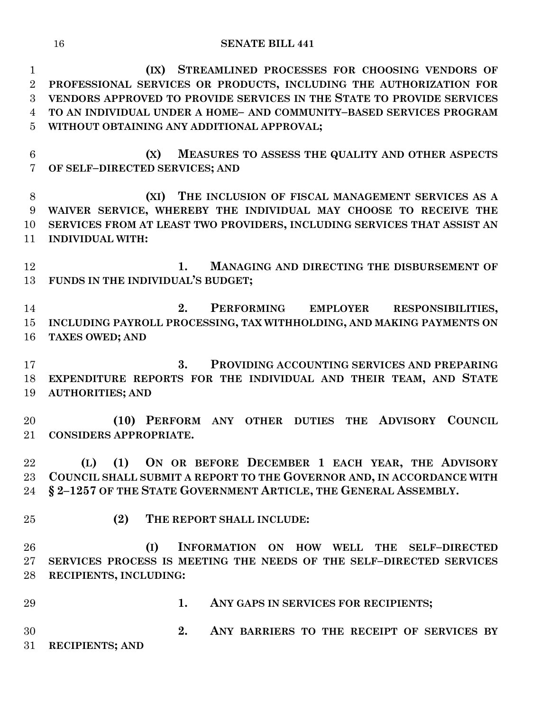**(IX) STREAMLINED PROCESSES FOR CHOOSING VENDORS OF PROFESSIONAL SERVICES OR PRODUCTS, INCLUDING THE AUTHORIZATION FOR VENDORS APPROVED TO PROVIDE SERVICES IN THE STATE TO PROVIDE SERVICES TO AN INDIVIDUAL UNDER A HOME– AND COMMUNITY–BASED SERVICES PROGRAM WITHOUT OBTAINING ANY ADDITIONAL APPROVAL;**

 **(X) MEASURES TO ASSESS THE QUALITY AND OTHER ASPECTS OF SELF–DIRECTED SERVICES; AND**

 **(XI) THE INCLUSION OF FISCAL MANAGEMENT SERVICES AS A WAIVER SERVICE, WHEREBY THE INDIVIDUAL MAY CHOOSE TO RECEIVE THE SERVICES FROM AT LEAST TWO PROVIDERS, INCLUDING SERVICES THAT ASSIST AN INDIVIDUAL WITH:**

 **1. MANAGING AND DIRECTING THE DISBURSEMENT OF FUNDS IN THE INDIVIDUAL'S BUDGET;**

 **2. PERFORMING EMPLOYER RESPONSIBILITIES, INCLUDING PAYROLL PROCESSING, TAX WITHHOLDING, AND MAKING PAYMENTS ON TAXES OWED; AND**

 **3. PROVIDING ACCOUNTING SERVICES AND PREPARING EXPENDITURE REPORTS FOR THE INDIVIDUAL AND THEIR TEAM, AND STATE AUTHORITIES; AND**

 **(10) PERFORM ANY OTHER DUTIES THE ADVISORY COUNCIL CONSIDERS APPROPRIATE.**

 **(L) (1) ON OR BEFORE DECEMBER 1 EACH YEAR, THE ADVISORY COUNCIL SHALL SUBMIT A REPORT TO THE GOVERNOR AND, IN ACCORDANCE WITH § 2–1257 OF THE STATE GOVERNMENT ARTICLE, THE GENERAL ASSEMBLY.**

**(2) THE REPORT SHALL INCLUDE:**

 **(I) INFORMATION ON HOW WELL THE SELF–DIRECTED SERVICES PROCESS IS MEETING THE NEEDS OF THE SELF–DIRECTED SERVICES RECIPIENTS, INCLUDING:**

 **1. ANY GAPS IN SERVICES FOR RECIPIENTS; 2. ANY BARRIERS TO THE RECEIPT OF SERVICES BY RECIPIENTS; AND**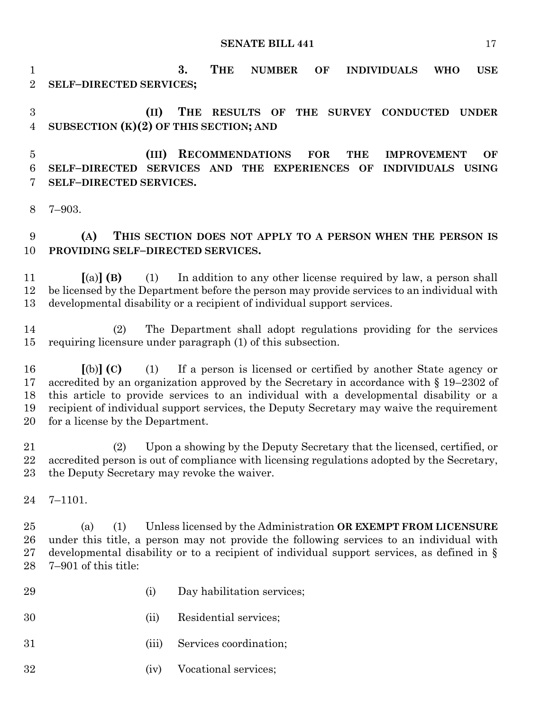**3. THE NUMBER OF INDIVIDUALS WHO USE SELF–DIRECTED SERVICES;**

 **(II) THE RESULTS OF THE SURVEY CONDUCTED UNDER SUBSECTION (K)(2) OF THIS SECTION; AND**

 **(III) RECOMMENDATIONS FOR THE IMPROVEMENT OF SELF–DIRECTED SERVICES AND THE EXPERIENCES OF INDIVIDUALS USING SELF–DIRECTED SERVICES.**

7–903.

 **(A) THIS SECTION DOES NOT APPLY TO A PERSON WHEN THE PERSON IS PROVIDING SELF–DIRECTED SERVICES.**

 **[**(a)**] (B)** (1) In addition to any other license required by law, a person shall be licensed by the Department before the person may provide services to an individual with developmental disability or a recipient of individual support services.

 (2) The Department shall adopt regulations providing for the services requiring licensure under paragraph (1) of this subsection.

 **[**(b)**] (C)** (1) If a person is licensed or certified by another State agency or accredited by an organization approved by the Secretary in accordance with § 19–2302 of this article to provide services to an individual with a developmental disability or a recipient of individual support services, the Deputy Secretary may waive the requirement for a license by the Department.

 (2) Upon a showing by the Deputy Secretary that the licensed, certified, or accredited person is out of compliance with licensing regulations adopted by the Secretary, the Deputy Secretary may revoke the waiver.

7–1101.

 (a) (1) Unless licensed by the Administration **OR EXEMPT FROM LICENSURE**  under this title, a person may not provide the following services to an individual with developmental disability or to a recipient of individual support services, as defined in § 7–901 of this title:

- (i) Day habilitation services;
- (ii) Residential services;
- (iii) Services coordination;
- (iv) Vocational services;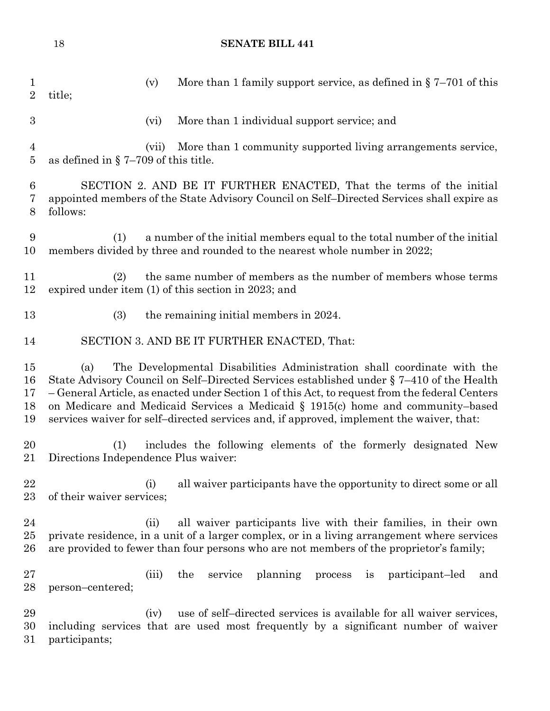| $\mathbf{1}$<br>$\overline{2}$ | More than 1 family support service, as defined in $\S 7-701$ of this<br>(v)<br>title;                                                                                                                                                                                                                                                                                                                                                                      |
|--------------------------------|------------------------------------------------------------------------------------------------------------------------------------------------------------------------------------------------------------------------------------------------------------------------------------------------------------------------------------------------------------------------------------------------------------------------------------------------------------|
| 3                              | More than 1 individual support service; and<br>(vi)                                                                                                                                                                                                                                                                                                                                                                                                        |
| $\overline{4}$<br>$\bf 5$      | More than 1 community supported living arrangements service,<br>(vii)<br>as defined in $\S$ 7-709 of this title.                                                                                                                                                                                                                                                                                                                                           |
| $\boldsymbol{6}$<br>7<br>8     | SECTION 2. AND BE IT FURTHER ENACTED, That the terms of the initial<br>appointed members of the State Advisory Council on Self-Directed Services shall expire as<br>follows:                                                                                                                                                                                                                                                                               |
| 9<br>10                        | a number of the initial members equal to the total number of the initial<br>(1)<br>members divided by three and rounded to the nearest whole number in 2022;                                                                                                                                                                                                                                                                                               |
| 11<br>12                       | the same number of members as the number of members whose terms<br>(2)<br>expired under item (1) of this section in 2023; and                                                                                                                                                                                                                                                                                                                              |
| 13                             | (3)<br>the remaining initial members in 2024.                                                                                                                                                                                                                                                                                                                                                                                                              |
| 14                             | SECTION 3. AND BE IT FURTHER ENACTED, That:                                                                                                                                                                                                                                                                                                                                                                                                                |
| 15<br>16<br>17<br>18<br>19     | The Developmental Disabilities Administration shall coordinate with the<br>(a)<br>State Advisory Council on Self-Directed Services established under § 7–410 of the Health<br>-General Article, as enacted under Section 1 of this Act, to request from the federal Centers<br>on Medicare and Medicaid Services a Medicaid § 1915(c) home and community-based<br>services waiver for self-directed services and, if approved, implement the waiver, that: |
| 20<br>21                       | includes the following elements of the formerly designated New<br>(1)<br>Directions Independence Plus waiver:                                                                                                                                                                                                                                                                                                                                              |
| 22<br>23                       | (i)<br>all waiver participants have the opportunity to direct some or all<br>of their waiver services;                                                                                                                                                                                                                                                                                                                                                     |
| 24<br>25<br>26                 | all waiver participants live with their families, in their own<br>(ii)<br>private residence, in a unit of a larger complex, or in a living arrangement where services<br>are provided to fewer than four persons who are not members of the proprietor's family;                                                                                                                                                                                           |
| 27<br>28                       | planning<br>the<br>service<br>participant-led<br>(iii)<br>process<br>and<br>1S<br>person-centered;                                                                                                                                                                                                                                                                                                                                                         |
| 29<br>30<br>31                 | use of self-directed services is available for all waiver services,<br>(iv)<br>including services that are used most frequently by a significant number of waiver<br>participants;                                                                                                                                                                                                                                                                         |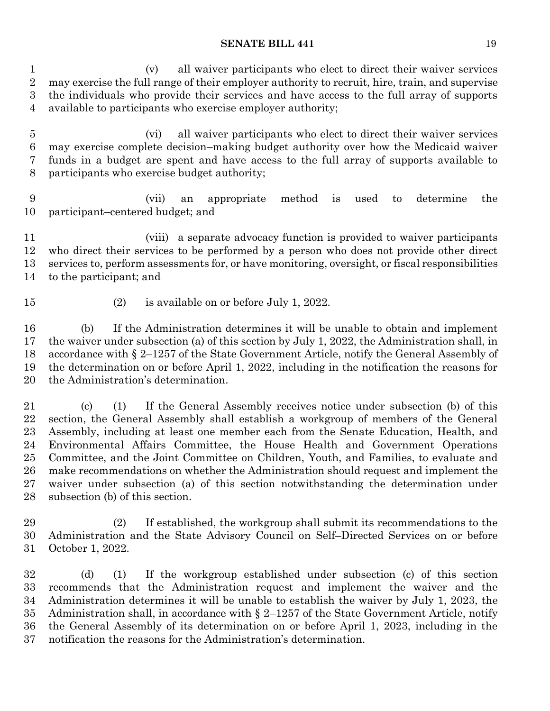(v) all waiver participants who elect to direct their waiver services may exercise the full range of their employer authority to recruit, hire, train, and supervise the individuals who provide their services and have access to the full array of supports available to participants who exercise employer authority;

 (vi) all waiver participants who elect to direct their waiver services may exercise complete decision–making budget authority over how the Medicaid waiver funds in a budget are spent and have access to the full array of supports available to participants who exercise budget authority;

 (vii) an appropriate method is used to determine the participant–centered budget; and

 (viii) a separate advocacy function is provided to waiver participants who direct their services to be performed by a person who does not provide other direct services to, perform assessments for, or have monitoring, oversight, or fiscal responsibilities to the participant; and

- 
- (2) is available on or before July 1, 2022.

 (b) If the Administration determines it will be unable to obtain and implement the waiver under subsection (a) of this section by July 1, 2022, the Administration shall, in accordance with § 2–1257 of the State Government Article, notify the General Assembly of the determination on or before April 1, 2022, including in the notification the reasons for the Administration's determination.

 (c) (1) If the General Assembly receives notice under subsection (b) of this section, the General Assembly shall establish a workgroup of members of the General Assembly, including at least one member each from the Senate Education, Health, and Environmental Affairs Committee, the House Health and Government Operations Committee, and the Joint Committee on Children, Youth, and Families, to evaluate and make recommendations on whether the Administration should request and implement the waiver under subsection (a) of this section notwithstanding the determination under subsection (b) of this section.

 (2) If established, the workgroup shall submit its recommendations to the Administration and the State Advisory Council on Self–Directed Services on or before October 1, 2022.

 (d) (1) If the workgroup established under subsection (c) of this section recommends that the Administration request and implement the waiver and the Administration determines it will be unable to establish the waiver by July 1, 2023, the Administration shall, in accordance with § 2–1257 of the State Government Article, notify the General Assembly of its determination on or before April 1, 2023, including in the notification the reasons for the Administration's determination.